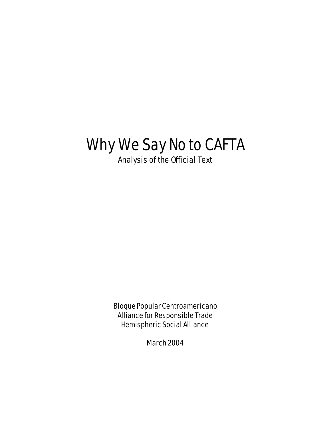# Why We Say No to CAFTA

Analysis of the Official Text

Bloque Popular Centroamericano Alliance for Responsible Trade Hemispheric Social Alliance

March 2004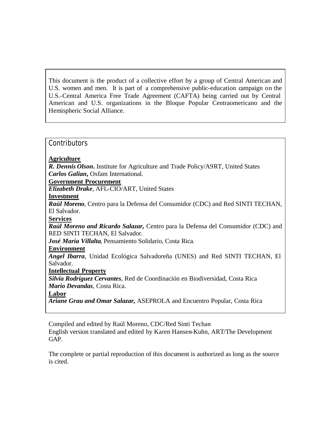This document is the product of a collective effort by a group of Central American and U.S. women and men. It is part of a comprehensive public-education campaign on the U.S.-Central America Free Trade Agreement (CAFTA) being carried out by Central American and U.S. organizations in the Bloque Popular Centraomericano and the Hemispheric Social Alliance.

#### **Contributors**

#### **Agriculture**

*R. Dennis Olson***.** Institute for Agriculture and Trade Policy/A9RT, United States *Carlos Galian***,** Oxfam International.

#### **Government Procurement**

*Elizabeth Drake*, AFL-CIO/ART, United States

#### **Investment**

*Raúl Moreno,* Centro para la Defensa del Consumidor (CDC) and Red SINTI TECHAN, El Salvador.

#### **Services**

*Raúl Moreno and Ricardo Salazar,* Centro para la Defensa del Consumidor (CDC) and RED SINTI TECHAN, El Salvador.

*José María Villalta*, Pensamiento Solidario, Costa Rica*.*

#### **Environment**

*Angel Ibarra*, Unidad Ecológica Salvadoreña (UNES) and Red SINTI TECHAN, El Salvador.

#### **Intellectual Property**

*Silvia Rodríguez Cervantes*, Red de Coordinación en Biodiversidad, Costa Rica *Mario Devandas*, Costa Rica.

#### **Labor**

*Ariane Grau and Omar Salazar,* ASEPROLA and Encuentro Popular, Costa Rica

Compiled and edited by Raúl Moreno, CDC/Red Sinti Techan English version translated and edited by Karen Hansen-Kuhn, ART/The Development GAP.

The complete or partial reproduction of this document is authorized as long as the source is cited.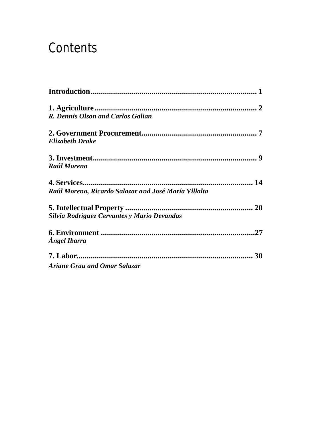# **Contents**

| <b>R. Dennis Olson and Carlos Galian</b>             |  |
|------------------------------------------------------|--|
|                                                      |  |
| <b>Elizabeth Drake</b>                               |  |
|                                                      |  |
| <b>Raúl Moreno</b>                                   |  |
|                                                      |  |
| Raúl Moreno, Ricardo Salazar and José María Villalta |  |
|                                                      |  |
| Silvia Rodríguez Cervantes y Mario Devandas          |  |
|                                                      |  |
| Ángel Ibarra                                         |  |
|                                                      |  |
| Ariane Grau and Omar Salazar                         |  |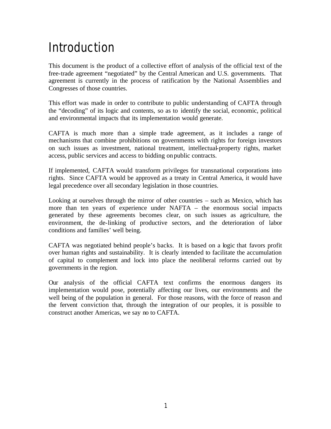# Introduction

This document is the product of a collective effort of analysis of the official text of the free-trade agreement "negotiated" by the Central American and U.S. governments. That agreement is currently in the process of ratification by the National Assemblies and Congresses of those countries.

This effort was made in order to contribute to public understanding of CAFTA through the "decoding" of its logic and contents, so as to identify the social, economic, political and environmental impacts that its implementation would generate.

CAFTA is much more than a simple trade agreement, as it includes a range of mechanisms that combine prohibitions on governments with rights for foreign investors on such issues as investment, national treatment, intellectual-property rights, market access, public services and access to bidding on public contracts.

If implemented, CAFTA would transform privileges for transnational corporations into rights. Since CAFTA would be approved as a treaty in Central America, it would have legal precedence over all secondary legislation in those countries.

Looking at ourselves through the mirror of other countries – such as Mexico, which has more than ten years of experience under NAFTA – the enormous social impacts generated by these agreements becomes clear, on such issues as agriculture, the environment, the de-linking of productive sectors, and the deterioration of labor conditions and families' well being.

CAFTA was negotiated behind people's backs. It is based on a logic that favors profit over human rights and sustainability. It is clearly intended to facilitate the accumulation of capital to complement and lock into place the neoliberal reforms carried out by governments in the region.

Our analysis of the official CAFTA text confirms the enormous dangers its implementation would pose, potentially affecting our lives, our environments and the well being of the population in general. For those reasons, with the force of reason and the fervent conviction that, through the integration of our peoples, it is possible to construct another Americas, we say no to CAFTA.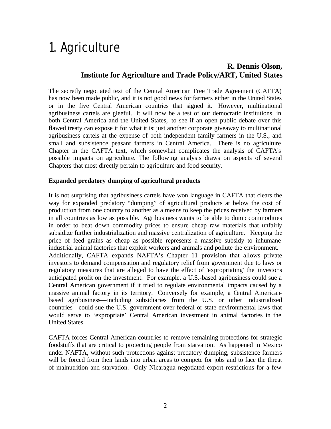# 1. Agriculture

### **R. Dennis Olson, Institute for Agriculture and Trade Policy/ART, United States**

The secretly negotiated text of the Central American Free Trade Agreement (CAFTA) has now been made public, and it is not good news for farmers either in the United States or in the five Central American countries that signed it. However, multinational agribusiness cartels are gleeful. It will now be a test of our democratic institutions, in both Central America and the United States, to see if an open public debate over this flawed treaty can expose it for what it is: just another corporate giveaway to multinational agribusiness cartels at the expense of both independent family farmers in the U.S., and small and subsistence peasant farmers in Central America. There is no agriculture Chapter in the CAFTA text, which somewhat complicates the analysis of CAFTA's possible impacts on agriculture. The following analysis draws on aspects of several Chapters that most directly pertain to agriculture and food security.

#### **Expanded predatory dumping of agricultural products**

It is not surprising that agribusiness cartels have won language in CAFTA that clears the way for expanded predatory "dumping" of agricultural products at below the cost of production from one country to another as a means to keep the prices received by farmers in all countries as low as possible. Agribusiness wants to be able to dump commodities in order to beat down commodity prices to ensure cheap raw materials that unfairly subsidize further industrialization and massive centralization of agriculture. Keeping the price of feed grains as cheap as possible represents a massive subsidy to inhumane industrial animal factories that exploit workers and animals and pollute the environment. Additionally, CAFTA expands NAFTA's Chapter 11 provision that allows private investors to demand compensation and regulatory relief from government due to laws or regulatory measures that are alleged to have the effect of 'expropriating' the investor's anticipated profit on the investment. For example, a U.S.-based agribusiness could sue a Central American government if it tried to regulate environmental impacts caused by a massive animal factory in its territory. Conversely for example, a Central Americanbased agribusiness—including subsidiaries from the U.S. or other industrialized countries—could sue the U.S. government over federal or state environmental laws that would serve to 'expropriate' Central American investment in animal factories in the United States.

CAFTA forces Central American countries to remove remaining protections for strategic foodstuffs that are critical to protecting people from starvation. As happened in Mexico under NAFTA, without such protections against predatory dumping, subsistence farmers will be forced from their lands into urban areas to compete for jobs and to face the threat of malnutrition and starvation. Only Nicaragua negotiated export restrictions for a few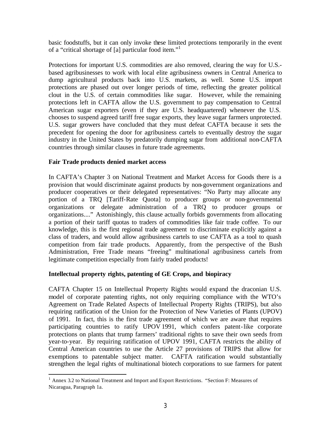basic foodstuffs, but it can only invoke these limited protections temporarily in the event of a "critical shortage of [a] particular food item."<sup>1</sup>

Protections for important U.S. commodities are also removed, clearing the way for U.S. based agribusinesses to work with local elite agribusiness owners in Central America to dump agricultural products back into U.S. markets, as well. Some U.S. import protections are phased out over longer periods of time, reflecting the greater political clout in the U.S. of certain commodities like sugar. However, while the remaining protections left in CAFTA allow the U.S. government to pay compensation to Central American sugar exporters (even if they are U.S. headquartered) whenever the U.S. chooses to suspend agreed tariff free sugar exports, they leave sugar farmers unprotected. U.S. sugar growers have concluded that they must defeat CAFTA because it sets the precedent for opening the door for agribusiness cartels to eventually destroy the sugar industry in the United States by predatorily dumping sugar from additional non-CAFTA countries through similar clauses in future trade agreements.

#### **Fair Trade products denied market access**

 $\overline{a}$ 

In CAFTA's Chapter 3 on National Treatment and Market Access for Goods there is a provision that would discriminate against products by non-government organizations and producer cooperatives or their delegated representatives: "No Party may allocate any portion of a TRQ [Tariff-Rate Quota] to producer groups or non-governmental organizations or delegate administration of a TRQ to producer groups or organizations...." Astonishingly, this clause actually forbids governments from allocating a portion of their tariff quotas to traders of commodities like fair trade coffee. To our knowledge, this is the first regional trade agreement to discriminate explicitly against a class of traders, and would allow agribusiness cartels to use CAFTA as a tool to quash competition from fair trade products. Apparently, from the perspective of the Bush Administration, Free Trade means "freeing" multinational agribusiness cartels from legitimate competition especially from fairly traded products!

#### **Intellectual property rights, patenting of GE Crops, and biopiracy**

CAFTA Chapter 15 on Intellectual Property Rights would expand the draconian U.S. model of corporate patenting rights, not only requiring compliance with the WTO's Agreement on Trade Related Aspects of Intellectual Property Rights (TRIPS), but also requiring ratification of the Union for the Protection of New Varieties of Plants (UPOV) of 1991. In fact, this is the first trade agreement of which we are aware that requires participating countries to ratify UPOV 1991, which confers patent-like corporate protections on plants that trump farmers' traditional rights to save their own seeds from year-to-year. By requiring ratification of UPOV 1991, CAFTA restricts the ability of Central American countries to use the Article 27 provisions of TRIPS that allow for exemptions to patentable subject matter. CAFTA ratification would substantially strengthen the legal rights of multinational biotech corporations to sue farmers for patent

<sup>&</sup>lt;sup>1</sup> Annex 3.2 to National Treatment and Import and Export Restrictions. "Section F: Measures of Nicaragua, Paragraph 1a.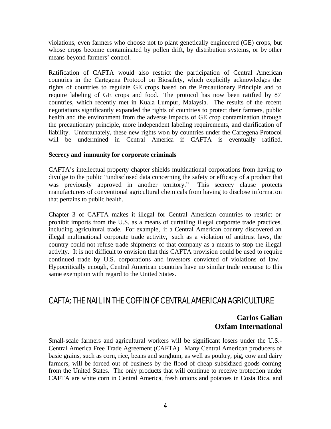violations, even farmers who choose not to plant genetically engineered (GE) crops, but whose crops become contaminated by pollen drift, by distribution systems, or by other means beyond farmers' control.

Ratification of CAFTA would also restrict the participation of Central American countries in the Cartegena Protocol on Biosafety, which explicitly acknowledges the rights of countries to regulate GE crops based on the Precautionary Principle and to require labeling of GE crops and food. The protocol has now been ratified by 87 countries, which recently met in Kuala Lumpur, Malaysia. The results of the recent negotiations significantly expanded the rights of countrie s to protect their farmers, public health and the environment from the adverse impacts of GE crop contamination through the precautionary principle, more independent labeling requirements, and clarification of liability. Unfortunately, these new rights won by countries under the Cartegena Protocol will be undermined in Central America if CAFTA is eventually ratified.

#### **Secrecy and immunity for corporate criminals**

CAFTA's intellectual property chapter shields multinational corporations from having to divulge to the public "undisclosed data concerning the safety or efficacy of a product that was previously approved in another territory." This secrecy clause protects manufacturers of conventional agricultural chemicals from having to disclose information that pertains to public health.

Chapter 3 of CAFTA makes it illegal for Central American countries to restrict or prohibit imports from the U.S. as a means of curtailing illegal corporate trade practices, including agricultural trade. For example, if a Central American country discovered an illegal multinational corporate trade activity, such as a violation of antitrust laws, the country could not refuse trade shipments of that company as a means to stop the illegal activity. It is not difficult to envision that this CAFTA provision could be used to require continued trade by U.S. corporations and investors convicted of violations of law. Hypocritically enough, Central American countries have no similar trade recourse to this same exemption with regard to the United States.

## CAFTA: THE NAIL IN THE COFFIN OF CENTRAL AMERICAN AGRICULTURE

### **Carlos Galian Oxfam International**

Small-scale farmers and agricultural workers will be significant losers under the U.S.- Central America Free Trade Agreement (CAFTA). Many Central American producers of basic grains, such as corn, rice, beans and sorghum, as well as poultry, pig, cow and dairy farmers, will be forced out of business by the flood of cheap subsidized goods coming from the United States. The only products that will continue to receive protection under CAFTA are white corn in Central America, fresh onions and potatoes in Costa Rica, and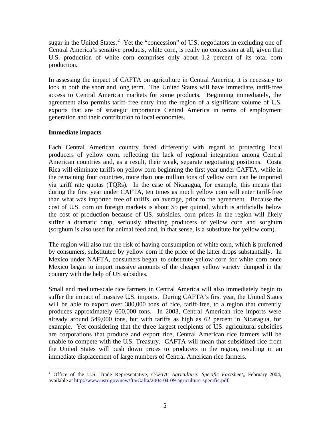sugar in the United States.<sup>2</sup> Yet the "concession" of U.S. negotiators in excluding one of Central America's sensitive products, white corn, is really no concession at all, given that U.S. production of white corn comprises only about 1.2 percent of its total corn production.

In assessing the impact of CAFTA on agriculture in Central America, it is necessary to look at both the short and long term. The United States will have immediate, tariff-free access to Central American markets for some products. Beginning immediately, the agreement also permits tariff-free entry into the region of a significant volume of U.S. exports that are of strategic importance Central America in terms of employment generation and their contribution to local economies.

#### **Immediate impacts**

Each Central American country fared differently with regard to protecting local producers of yellow corn, reflecting the lack of regional integration among Central American countries and, as a result, their weak, separate negotiating positions. Costa Rica will eliminate tariffs on yellow corn beginning the first year under CAFTA, while in the remaining four countries, more than one million tons of yellow corn can be imported via tariff rate quotas (TQRs). In the case of Nicaragua, for example, this means that during the first year under CAFTA, ten times as much yellow corn will enter tariff-free than what was imported free of tariffs, on average, prior to the agreement. Because the cost of U.S. corn on foreign markets is about \$5 per quintal, which is artificially below the cost of production because of U.S. subsidies, corn prices in the region will likely suffer a dramatic drop, seriously affecting producers of yellow corn and sorghum (sorghum is also used for animal feed and, in that sense, is a substitute for yellow corn).

The region will also run the risk of having consumption of white corn, which is preferred by consumers, substituted by yellow corn if the price of the latter drops substantially. In Mexico under NAFTA, consumers began to substitute yellow corn for white corn once Mexico began to import massive amounts of the cheaper yellow variety dumped in the country with the help of US subsidies.

Small and medium-scale rice farmers in Central America will also immediately begin to suffer the impact of massive U.S. imports. During CAFTA's first year, the United States will be able to export over 380,000 tons of rice, tariff-free, to a region that currently produces approximately 600,000 tons. In 2003, Central American rice imports were already around 549,000 tons, but with tariffs as high as 62 percent in Nicaragua, for example. Yet considering that the three largest recipients of U.S. agricultural subsidies are corporations that produce and export rice, Central American rice farmers will be unable to compete with the U.S. Treasury. CAFTA will mean that subsidized rice from the United States will push down prices to producers in the region, resulting in an immediate displacement of large numbers of Central American rice farmers.

 $\overline{a}$ 2 Office of the U.S. Trade Representative, *CAFTA: Agriculture: Specific Factsheet,*, February 2004, available at http://www.ustr.gov/new/fta/Cafta/2004-04-09-agriculture-specific.pdf.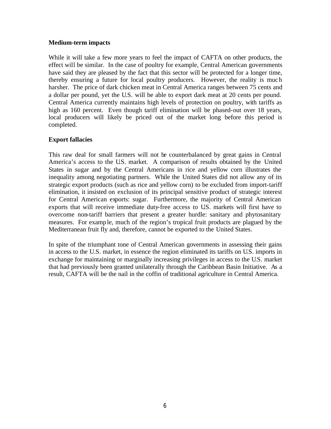#### **Medium-term impacts**

While it will take a few more years to feel the impact of CAFTA on other products, the effect will be similar. In the case of poultry for example, Central American governments have said they are pleased by the fact that this sector will be protected for a longer time, thereby ensuring a future for local poultry producers. However, the reality is much harsher. The price of dark chicken meat in Central America ranges between 75 cents and a dollar per pound, yet the U.S. will be able to export dark meat at 20 cents per pound. Central America currently maintains high levels of protection on poultry, with tariffs as high as 160 percent. Even though tariff elimination will be phased-out over 18 years, local producers will likely be priced out of the market long before this period is completed.

#### **Export fallacies**

This raw deal for small farmers will not be counterbalanced by great gains in Central America's access to the U.S. market. A comparison of results obtained by the United States in sugar and by the Central Americans in rice and yellow corn illustrates the inequality among negotiating partners. While the United States did not allow any of its strategic export products (such as rice and yellow corn) to be excluded from import-tariff elimination, it insisted on exclusion of its principal sensitive product of strategic interest for Central American exports: sugar. Furthermore, the majority of Central American exports that will receive immediate duty-free access to U.S. markets will first have to overcome non-tariff barriers that present a greater hurdle: sanitary and phytosanitary measures. For example, much of the region's tropical fruit products are plagued by the Mediterranean fruit fly and, therefore, cannot be exported to the United States.

In spite of the triumphant tone of Central American governments in assessing their gains in access to the U.S. market, in essence the region eliminated its tariffs on U.S. imports in exchange for maintaining or marginally increasing privileges in access to the U.S. market that had previously been granted unilaterally through the Caribbean Basin Initiative. As a result, CAFTA will be the nail in the coffin of traditional agriculture in Central America.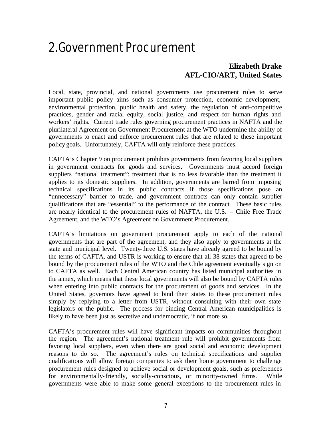## 2.Government Procurement

## **Elizabeth Drake AFL-CIO/ART, United States**

Local, state, provincial, and national governments use procurement rules to serve important public policy aims such as consumer protection, economic development, environmental protection, public health and safety, the regulation of anti-competitive practices, gender and racial equity, social justice, and respect for human rights and workers' rights. Current trade rules governing procurement practices in NAFTA and the plurilateral Agreement on Government Procurement at the WTO undermine the ability of governments to enact and enforce procurement rules that are related to these important policy goals. Unfortunately, CAFTA will only reinforce these practices.

CAFTA's Chapter 9 on procurement prohibits governments from favoring local suppliers in government contracts for goods and services. Governments must accord foreign suppliers "national treatment": treatment that is no less favorable than the treatment it applies to its domestic suppliers. In addition, governments are barred from imposing technical specifications in its public contracts if those specifications pose an "unnecessary" barrier to trade, and government contracts can only contain supplier qualifications that are "essential" to the performance of the contract. These basic rules are nearly identical to the procurement rules of NAFTA, the U.S. – Chile Free Trade Agreement, and the WTO's Agreement on Government Procurement.

CAFTA's limitations on government procurement apply to each of the national governments that are part of the agreement, and they also apply to governments at the state and municipal level. Twenty-three U.S. states have already agreed to be bound by the terms of CAFTA, and USTR is working to ensure that all 38 states that agreed to be bound by the procurement rules of the WTO and the Chile agreement eventually sign on to CAFTA as well. Each Central American country has listed municipal authorities in the annex, which means that these local governments will also be bound by CAFTA rules when entering into public contracts for the procurement of goods and services. In the United States, governors have agreed to bind their states to these procurement rules simply by replying to a letter from USTR, without consulting with their own state legislators or the public. The process for binding Central American municipalities is likely to have been just as secretive and undemocratic, if not more so.

CAFTA's procurement rules will have significant impacts on communities throughout the region. The agreement's national treatment rule will prohibit governments from favoring local suppliers, even when there are good social and economic development reasons to do so. The agreement's rules on technical specifications and supplier qualifications will allow foreign companies to ask their home government to challenge procurement rules designed to achieve social or development goals, such as preferences for environmentally-friendly, socially-conscious, or minority-owned firms. While governments were able to make some general exceptions to the procurement rules in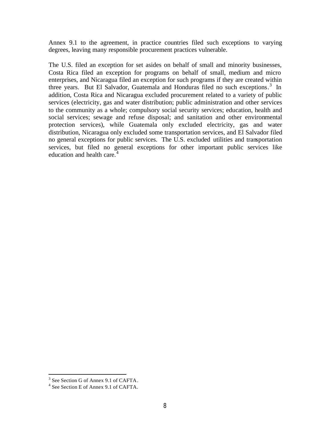Annex 9.1 to the agreement, in practice countries filed such exceptions to varying degrees, leaving many responsible procurement practices vulnerable.

The U.S. filed an exception for set asides on behalf of small and minority businesses, Costa Rica filed an exception for programs on behalf of small, medium and micro enterprises, and Nicaragua filed an exception for such programs if they are created within three years. But El Salvador, Guatemala and Honduras filed no such exceptions. 3 In addition, Costa Rica and Nicaragua excluded procurement related to a variety of public services (electricity, gas and water distribution; public administration and other services to the community as a whole; compulsory social security services; education, health and social services; sewage and refuse disposal; and sanitation and other environmental protection services), while Guatemala only excluded electricity, gas and water distribution, Nicaragua only excluded some transportation services, and El Salvador filed no general exceptions for public services. The U.S. excluded utilities and transportation services, but filed no general exceptions for other important public services like education and health care.<sup>4</sup>

 3 See Section G of Annex 9.1 of CAFTA.

<sup>4</sup> See Section E of Annex 9.1 of CAFTA.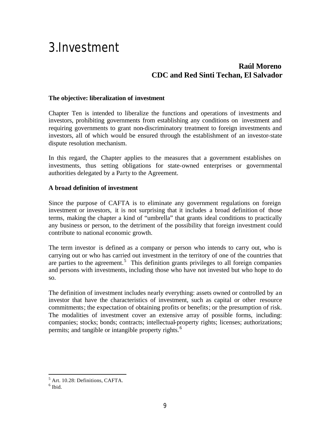## 3.Investment

## **Raúl Moreno CDC and Red Sinti Techan, El Salvador**

#### **The objective: liberalization of investment**

Chapter Ten is intended to liberalize the functions and operations of investments and investors, prohibiting governments from establishing any conditions on investment and requiring governments to grant non-discriminatory treatment to foreign investments and investors, all of which would be ensured through the establishment of an investor-state dispute resolution mechanism.

In this regard, the Chapter applies to the measures that a government establishes on investments, thus setting obligations for state-owned enterprises or governmental authorities delegated by a Party to the Agreement.

#### **A broad definition of investment**

Since the purpose of CAFTA is to eliminate any government regulations on foreign investment or investors, it is not surprising that it includes a broad definition of those terms, making the chapter a kind of "umbrella" that grants ideal conditions to practically any business or person, to the detriment of the possibility that foreign investment could contribute to national economic growth.

The term investor is defined as a company or person who intends to carry out, who is carrying out or who has carried out investment in the territory of one of the countries that are parties to the agreement.<sup>5</sup> This definition grants privileges to all foreign companies and persons with investments, including those who have not invested but who hope to do so.

The definition of investment includes nearly everything: assets owned or controlled by an investor that have the characteristics of investment, such as capital or other resource commitments; the expectation of obtaining profits or benefits; or the presumption of risk. The modalities of investment cover an extensive array of possible forms, including: companies; stocks; bonds; contracts; intellectual-property rights; licenses; authorizations; permits; and tangible or intangible property rights.<sup>6</sup>

 5 Art. 10.28: Definitions, CAFTA.

 $<sup>6</sup>$  Ibid.</sup>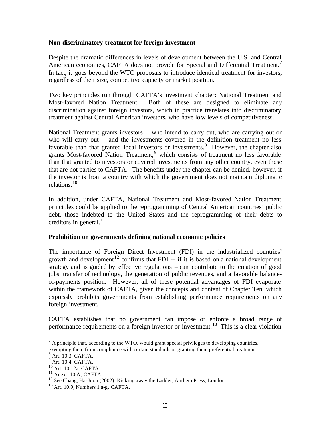#### **Non-discriminatory treatment for foreign investment**

Despite the dramatic differences in levels of development between the U.S. and Central American economies, CAFTA does not provide for Special and Differential Treatment.<sup>7</sup> In fact, it goes beyond the WTO proposals to introduce identical treatment for investors, regardless of their size, competitive capacity or market position.

Two key principles run through CAFTA's investment chapter: National Treatment and Most-favored Nation Treatment. Both of these are designed to eliminate any discrimination against foreign investors, which in practice translates into discriminatory treatment against Central American investors, who have low levels of competitiveness.

National Treatment grants investors – who intend to carry out, who are carrying out or who will carry out – and the investments covered in the definition treatment no less favorable than that granted local investors or investments.<sup>8</sup> However, the chapter also grants Most-favored Nation Treatment, 9 which consists of treatment no less favorable than that granted to investors or covered investments from any other country, even those that are not parties to CAFTA. The benefits under the chapter can be denied, however, if the investor is from a country with which the government does not maintain diplomatic relations. $10$ 

In addition, under CAFTA, National Treatment and Most-favored Nation Treatment principles could be applied to the reprogramming of Central American countries' public debt, those indebted to the United States and the reprogramming of their debts to creditors in general. $^{11}$ 

#### **Prohibition on governments defining national economic policies**

The importance of Foreign Direct Investment (FDI) in the industrialized countries' growth and development<sup>12</sup> confirms that FDI -- if it is based on a national development strategy and is guided by effective regulations – can contribute to the creation of good jobs, transfer of technology, the generation of public revenues, and a favorable balanceof-payments position. However, all of these potential advantages of FDI evaporate within the framework of CAFTA, given the concepts and content of Chapter Ten, which expressly prohibits governments from establishing performance requirements on any foreign investment.

CAFTA establishes that no government can impose or enforce a broad range of performance requirements on a foreign investor or investment.<sup>13</sup> This is a clear violation

 $<sup>7</sup>$  A princip le that, according to the WTO, would grant special privileges to developing countries,</sup> exempting them from compliance with certain standards or granting them preferential treatment.

<sup>8</sup> Art. 10.3, CAFTA.

<sup>&</sup>lt;sup>9</sup> Art. 10.4, CAFTA.

<sup>10</sup> Art. 10.12a, CAFTA.

<sup>&</sup>lt;sup>11</sup> Anexo 10-A, CAFTA.

<sup>&</sup>lt;sup>12</sup> See Chang, Ha-Joon (2002): Kicking away the Ladder, Anthem Press, London.

<sup>&</sup>lt;sup>13</sup> Art. 10.9, Numbers 1 a-g, CAFTA.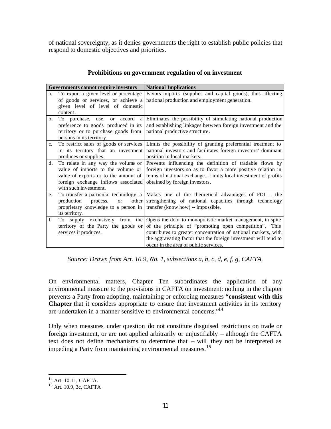of national sovereignty, as it denies governments the right to establish public policies that respond to domestic objectives and priorities.

|             | Governments cannot require investors                                                                                                                                            | <b>National Implications</b>                                                                                                                                                                                                                                                                       |
|-------------|---------------------------------------------------------------------------------------------------------------------------------------------------------------------------------|----------------------------------------------------------------------------------------------------------------------------------------------------------------------------------------------------------------------------------------------------------------------------------------------------|
| a.          | To export a given level or percentage<br>of goods or services, or achieve a<br>given level of level of domestic<br>content.                                                     | Favors imports (supplies and capital goods), thus affecting<br>national production and employment generation.                                                                                                                                                                                      |
| b.          | To purchase, use, or<br>accord<br>a<br>preference to goods produced in its<br>territory or to purchase goods from<br>persons in its territory.                                  | Eliminates the possibility of stimulating national production<br>and establishing linkages between foreign investment and the<br>national productive structure.                                                                                                                                    |
| $c_{\cdot}$ | To restrict sales of goods or services<br>in its territory that an investment<br>produces or supplies.                                                                          | Limits the possibility of granting preferential treatment to<br>national investors and facilitates foreign investors' dominant<br>position in local markets.                                                                                                                                       |
| d.          | To relate in any way the volume or<br>value of imports to the volume or<br>value of exports or to the amount of<br>foreign exchange inflows associated<br>with such investment. | Prevents influencing the definition of tradable flows by<br>foreign investors so as to favor a more positive relation in<br>terms of national exchange. Limits local investment of profits<br>obtained by foreign investors.                                                                       |
| e.          | To transfer a particular technology, a<br>production<br>process.<br>other<br>$\alpha$<br>proprietary knowledge to a person in<br>its territory.                                 | Makes one of the theoretical advantages of FDI – the<br>strengthening of national capacities through technology<br>transfer (know how) -- impossible.                                                                                                                                              |
| f.          | To supply exclusively from<br>the  <br>territory of the Party the goods or<br>services it produces.                                                                             | Opens the door to monopolistic market management, in spite<br>of the principle of "promoting open competition". This<br>contributes to greater concentration of national markets, with<br>the aggravating factor that the foreign investment will tend to<br>occur in the area of public services. |

#### **Prohibitions on government regulation of on investment**

*Source: Drawn from Art. 10.9, No. 1, subsections a, b, c, d, e, f, g, CAFTA.*

On environmental matters, Chapter Ten subordinates the application of any environmental measure to the provisions in CAFTA on investment: nothing in the chapter prevents a Party from adopting, maintaining or enforcing measures **"consistent with this Chapter** that it considers appropriate to ensure that investment activities in its territory are undertaken in a manner sensitive to environmental concerns."<sup>14</sup>

Only when measures under question do not constitute disguised restrictions on trade or foreign investment, or are not applied arbitrarily or unjustifiably – although the CAFTA text does not define mechanisms to determine that – will they not be interpreted as impeding a Party from maintaining environmental measures.<sup>15</sup>

 $\overline{a}$ <sup>14</sup> Art. 10.11, CAFTA.

<sup>15</sup> Art. 10.9, 3c, CAFTA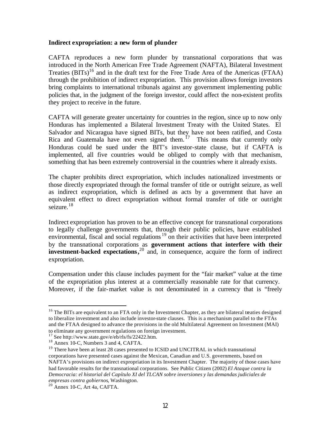#### **Indirect expropriation: a new form of plunder**

CAFTA reproduces a new form plunder by transnational corporations that was introduced in the North American Free Trade Agreement (NAFTA), Bilateral Investment Treaties  $(BITS)^{16}$  and in the draft text for the Free Trade Area of the Americas (FTAA) through the prohibition of indirect expropriation. This provision allows foreign investors bring complaints to international tribunals against any government implementing public policies that, in the judgment of the foreign investor, could affect the non-existent profits they project to receive in the future.

CAFTA will generate greater uncertainty for countries in the region, since up to now only Honduras has implemented a Bilateral Investment Treaty with the United States. El Salvador and Nicaragua have signed BITs, but they have not been ratified, and Costa Rica and Guatemala have not even signed them.<sup>17</sup> This means that currently only Honduras could be sued under the BIT's investor-state clause, but if CAFTA is implemented, all five countries would be obliged to comply with that mechanism, something that has been extremely controversial in the countries where it already exists.

The chapter prohibits direct expropriation, which includes nationalized investments or those directly expropriated through the formal transfer of title or outright seizure, as well as indirect expropriation, which is defined as acts by a government that have an equivalent effect to direct expropriation without formal transfer of title or outright seizure.<sup>18</sup>

Indirect expropriation has proven to be an effective concept for transnational corporations to legally challenge governments that, through their public policies, have established environmental, fiscal and social regulations  $19$  on their activities that have been interpreted by the transnational corporations as **government actions that interfere with their investment-backed expectations**,<sup>20</sup> and, in consequence, acquire the form of indirect expropriation.

Compensation under this clause includes payment for the "fair market" value at the time of the expropriation plus interest at a commercially reasonable rate for that currency. Moreover, if the fair-market value is not denominated in a currency that is "freely

<sup>&</sup>lt;sup>16</sup> The BITs are equivalent to an FTA only in the Investment Chapter, as they are bilateral treaties designed to liberalize investment and also include investor-state clauses. This is a mechanism parallel to the FTAs and the FTAA designed to advance the provisions in the old Multilateral Agreement on Investment (MAI) to eliminate any government regulations on foreign investment.

 $17$  See http://www.state.gov/e/eb/rls/fs/22422.htm.

 $18$  Annex 10-C, Numbers 3 and 4, CAFTA.

<sup>&</sup>lt;sup>19</sup> There have been at least 28 cases presented to ICSID and UNCITRAL in which transnational corporations have presented cases against the Mexican, Canadian and U.S. governments, based on NAFTA's provisions on indirect expropriation in its Investment Chapter. The majority of those cases have had favorable results for the transnational corporations. See Public Citizen (2002) *El Ataque contra la Democracia: el historial del Capítulo XI del TLCAN sobre inversiones y las demandas judiciales de empresas contra gobiernos*, Washington.

<sup>20</sup> Annex 10-C, Art 4a, CAFTA.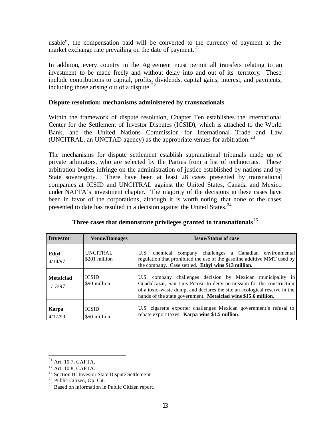usable", the compensation paid will be converted to the currency of payment at the market exchange rate prevailing on the date of payment.<sup>21</sup>

In addition, every country in the Agreement must permit all transfers relating to an investment to be made freely and without delay into and out of its territory. These include contributions to capital, profits, dividends, capital gains, interest, and payments, including those arising out of a dispute.<sup>22</sup>

#### **Dispute resolution: mechanisms administered by transnationals**

Within the framework of dispute resolution, Chapter Ten establishes the International Center for the Settlement of Investor Disputes (ICSID), which is attached to the World Bank, and the United Nations Commission for International Trade and Law (UNCITRAL, an UNCTAD agency) as the appropriate venues for arbitration.<sup>23</sup>

The mechanisms for dispute settlement establish supranational tribunals made up of private arbitrators, who are selected by the Parties from a list of technocrats. These arbitration bodies infringe on the administration of justice established by nations and by State sovereignty. There have been at least 28 cases presented by transnational companies at ICSID and UNCITRAL against the United States, Canada and Mexico under NAFTA's investment chapter. The majority of the decisions in these cases have been in favor of the corporations, although it is worth noting that none of the cases presented to date has resulted in a decision against the United States.  $24$ 

| <b>Investor</b>      | <b>Venue/Damages</b>             | <b>Issue/Status of case</b>                                                                                                                                                                                                                                                        |
|----------------------|----------------------------------|------------------------------------------------------------------------------------------------------------------------------------------------------------------------------------------------------------------------------------------------------------------------------------|
| Ethyl<br>4/14/97     | <b>UNCITRAL</b><br>\$201 million | U.S. chemical company challenges a Canadian environmental<br>regulation that prohibited the use of the gasoline additive MMT used by<br>the company. Case settled. Ethyl wins \$13 million.                                                                                        |
| Metalclad<br>1/13/97 | <b>ICSID</b><br>\$90 million     | U.S. company challenges decision by Mexican municipality in<br>Guadalcazar, San Luis Potosi, to deny permission for the construction<br>of a toxic-waste dump, and declares the site an ecological reserve in the<br>hands of the state government. Metalclad wins \$15.6 million. |
| Karpa<br>4/17/99     | <b>ICSID</b><br>\$50 million     | U.S. cigarette exporter challenges Mexican government's refusal to<br>rebate export taxes. Karpa wins \$1.5 million.                                                                                                                                                               |

#### **Three cases that demonstrate privileges granted to transnationals<sup>25</sup>**

 $\overline{a}$  $^{21}$  Art. 10.7, CAFTA.

 $22$  Art. 10.8, CAFTA.

<sup>&</sup>lt;sup>23</sup> Section B: Investor-State Dispute Settlement

<sup>&</sup>lt;sup>24</sup> Public Citizen, Op. Cit.

<sup>&</sup>lt;sup>25</sup> Based on information in Public Citizen report.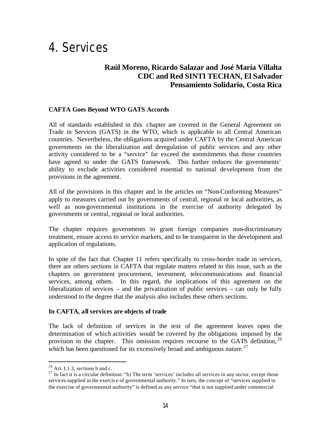## 4. Services

## **Raúl Moreno, Ricardo Salazar and José María Villalta CDC and Red SINTI TECHAN, El Salvador Pensamiento Solidario, Costa Rica**

#### **CAFTA Goes Beyond WTO GATS Accords**

All of standards established in this chapter are covered in the General Agreement on Trade in Services (GATS) in the WTO, which is applicable to all Central American countries. Nevertheless, the obligations acquired under CAFTA by the Central American governments on the liberalization and deregulation of public services and any other activity considered to be a "service" far exceed the commitments that those countries have agreed to under the GATS framework. This further reduces the governments' ability to exclude activities considered essential to national development from the provisions in the agreement.

All of the provisions in this chapter and in the articles on "Non-Conforming Measures" apply to measures carried out by governments of central, regional or local authorities, as well as non-governmental institutions in the exercise of authority delegated by governments or central, regional or local authorities.

The chapter requires governments to grant foreign companies non-discriminatory treatment, ensure access to service markets, and to be transparent in the development and application of regulations.

In spite of the fact that Chapter 11 refers specifically to cross-border trade in services, there are others sections in CAFTA that regulate matters related to this issue, such as the chapters on government procurement, investment, telecommunications and financial services, among others. In this regard, the implications of this agreement on the liberalization of services – and the privatization of public services – can only be fully understood to the degree that the analysis also includes these others sections.

#### **In CAFTA, all services are objects of trade**

The lack of definition of services in the text of the agreement leaves open the determination of which activities would be covered by the obligations imposed by the provision in the chapter. This omission requires recourse to the GATS definition,  $^{26}$ which has been questioned for its excessively broad and ambiguous nature.<sup>27</sup>

 $26$  Art. I.1.3, sections b and c.

 $27$  In fact it is a circular definition: "b) The term 'services' includes all services in any sector, except those services supplied in the exercis e of governmental authority." In turn, the concept of "services supplied in the exercise of governmental authority" is defined as any service "that is not supplied under commercial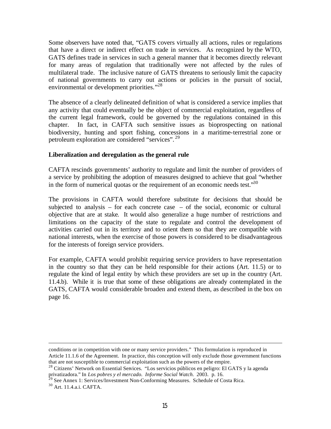Some observers have noted that, "GATS covers virtually all actions, rules or regulations that have a direct or indirect effect on trade in services. As recognized by the WTO, GATS defines trade in services in such a general manner that it becomes directly relevant for many areas of regulation that traditionally were not affected by the rules of multilateral trade. The inclusive nature of GATS threatens to seriously limit the capacity of national governments to carry out actions or policies in the pursuit of social, environmental or development priorities."<sup>28</sup>

The absence of a clearly delineated definition of what is considered a service implies that any activity that could eventually be the object of commercial exploitation, regardless of the current legal framework, could be governed by the regulations contained in this chapter. In fact, in CAFTA such sensitive issues as bioprospecting on national biodiversity, hunting and sport fishing, concessions in a maritime-terrestrial zone or petroleum exploration are considered "services". <sup>29</sup>

#### **Liberalization and deregulation as the general rule**

CAFTA rescinds governments' authority to regulate and limit the number of providers of a service by prohibiting the adoption of measures designed to achieve that goal "whether in the form of numerical quotas or the requirement of an economic needs test." $30$ 

The provisions in CAFTA would therefore substitute for decisions that should be subjected to analysis – for each concrete case – of the social, economic or cultural objective that are at stake. It would also generalize a huge number of restrictions and limitations on the capacity of the state to regulate and control the development of activities carried out in its territory and to orient them so that they are compatible with national interests, when the exercise of those powers is considered to be disadvantageous for the interests of foreign service providers.

For example, CAFTA would prohibit requiring service providers to have representation in the country so that they can be held responsible for their actions (Art. 11.5) or to regulate the kind of legal entity by which these providers are set up in the country (Art. 11.4.b). While it is true that some of these obligations are already contemplated in the GATS, CAFTA would considerable broaden and extend them, as described in the box on page 16.

conditions or in competition with one or many service providers." This formulation is reproduced in Article 11.1.6 of the Agreement. In practice, this conception will only exclude those government functions that are not susceptible to commercial exploitation such as the powers of the empire.

<sup>&</sup>lt;sup>28</sup> Citizens' Network on Essential Services. "Los servicios públicos en peligro: El GATS y la agenda privatizadora." In *Los pobres y el mercado. Informe Social Watch.* 2003. p. 16.

<sup>&</sup>lt;sup>29</sup> See Annex 1: Services/Investment Non-Conforming Measures. Schedule of Costa Rica.

<sup>30</sup> Art. 11.4.a.i. CAFTA.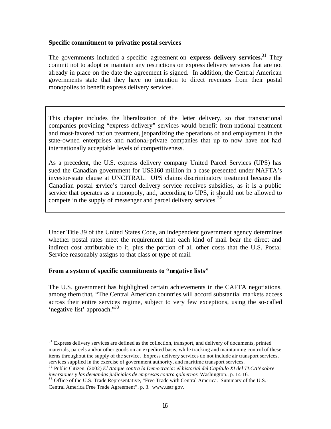#### **Specific commitment to privatize postal services**

The governments included a specific agreement on **express delivery services.** <sup>31</sup> They commit not to adopt or maintain any restrictions on express delivery services that are not already in place on the date the agreement is signed. In addition, the Central American governments state that they have no intention to direct revenues from their postal monopolies to benefit express delivery services.

This chapter includes the liberalization of the letter delivery, so that transnational companies providing "express delivery" services would benefit from national treatment and most-favored nation treatment, jeopardizing the operations of and employment in the state-owned enterprises and national-private companies that up to now have not had internationally acceptable levels of competitiveness.

As a precedent, the U.S. express delivery company United Parcel Services (UPS) has sued the Canadian government for US\$160 million in a case presented under NAFTA's investor-state clause at UNCITRAL. UPS claims discriminatory treatment because the Canadian postal service's parcel delivery service receives subsidies, as it is a public service that operates as a monopoly, and, according to UPS, it should not be allowed to compete in the supply of messenger and parcel delivery services.<sup>32</sup>

Under Title 39 of the United States Code, an independent government agency determines whether postal rates meet the requirement that each kind of mail bear the direct and indirect cost attributable to it, plus the portion of all other costs that the U.S. Postal Service reasonably assigns to that class or type of mail.

#### **From a system of specific commitments to "negative lists"**

 $\overline{a}$ 

The U.S. government has highlighted certain achievements in the CAFTA negotiations, among them that, "The Central American countries will accord substantial ma rkets access across their entire services regime, subject to very few exceptions, using the so-called 'negative list' approach."<sup>33</sup>

 $31$  Express delivery services are defined as the collection, transport, and delivery of documents, printed materials, parcels and/or other goods on an expedited basis, while tracking and maintaining control of these items throughout the supply of the service. Express delivery services do not include air transport services, services supplied in the exercise of government authority, and maritime transport services.

<sup>32</sup> Public Citizen, (2002) *El Ataque contra la Democracia: el historial del Capítulo XI del TLCAN sobre inversiones y las demandas judiciales de empresas contra gobiernos*, Washington., p. 14-16.

<sup>&</sup>lt;sup>33</sup> Office of the U.S. Trade Representative, "Free Trade with Central America. Summary of the U.S.-Central America Free Trade Agreement". p. 3. www.ustr.gov.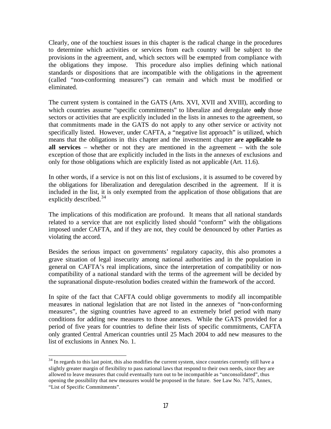Clearly, one of the touchiest issues in this chapter is the radical change in the procedures to determine which activities or services from each country will be subject to the provisions in the agreement, and, which sectors will be exempted from compliance with the obligations they impose. This procedure also implies defining which national standards or dispositions that are incompatible with the obligations in the agreement (called "non-conforming measures") can remain and which must be modified or eliminated.

The current system is contained in the GATS (Arts. XVI, XVII and XVIII), according to which countries assume "specific commitments" to liberalize and deregulate **only** those sectors or activities that are explicitly included in the lists in annexes to the agreement, so that commitments made in the GATS do not apply to any other service or activity not specifically listed. However, under CAFTA, a "negative list approach" is utilized, which means that the obligations in this chapter and the investment chapter **are applicable to all services** – whether or not they are mentioned in the agreement – with the sole exception of those that are explicitly included in the lists in the annexes of exclusions and only for those obligations which are explicitly listed as not applicable (Art. 11.6).

In other words, if a service is not on this list of exclusions, it is assumed to be covered by the obligations for liberalization and deregulation described in the agreement. If it is included in the list, it is only exempted from the application of those obligations that are explicitly described.<sup>34</sup>

The implications of this modification are profound. It means that all national standards related to a service that are not explicitly listed should "conform" with the obligations imposed under CAFTA, and if they are not, they could be denounced by other Parties as violating the accord.

Besides the serious impact on governments' regulatory capacity, this also promotes a grave situation of legal insecurity among national authorities and in the population in general on CAFTA's real implications, since the interpretation of compatibility or noncompatibility of a national standard with the terms of the agreement will be decided by the supranational dispute-resolution bodies created within the framework of the accord.

In spite of the fact that CAFTA could oblige governments to modify all incompatible measures in national legislation that are not listed in the annexes of "non-conforming measures", the signing countries have agreed to an extremely brief period with many conditions for adding new measures to those annexes. While the GATS provided for a period of five years for countries to define their lists of specific commitments, CAFTA only granted Central American countries until 25 Mach 2004 to add new measures to the list of exclusions in Annex No. 1.

 $34$  In regards to this last point, this also modifies the current system, since countries currently still have a slightly greater margin of flexibility to pass national laws that respond to their own needs, since they are allowed to leave measures that could eventually turn out to be incompatible as "unconsolidated", thus opening the possibility that new measures would be proposed in the future. See Law No. 7475, Annex, "List of Specific Commitments".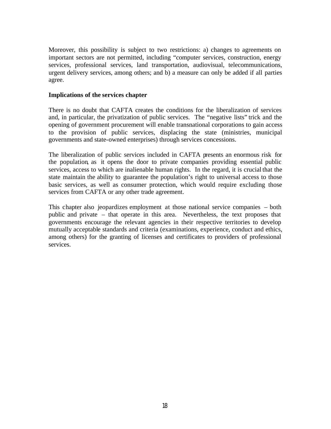Moreover, this possibility is subject to two restrictions: a) changes to agreements on important sectors are not permitted, including "computer services, construction, energy services, professional services, land transportation, audiovisual, telecommunications, urgent delivery services, among others; and b) a measure can only be added if all parties agree.

#### **Implications of the services chapter**

There is no doubt that CAFTA creates the conditions for the liberalization of services and, in particular, the privatization of public services. The "negative lists" trick and the opening of government procurement will enable transnational corporations to gain access to the provision of public services, displacing the state (ministries, municipal governments and state-owned enterprises) through services concessions.

The liberalization of public services included in CAFTA presents an enormous risk for the population, as it opens the door to private companies providing essential public services, access to which are inalienable human rights. In the regard, it is crucial that the state maintain the ability to guarantee the population's right to universal access to those basic services, as well as consumer protection, which would require excluding those services from CAFTA or any other trade agreement.

This chapter also jeopardizes employment at those national service companies – both public and private – that operate in this area. Nevertheless, the text proposes that governments encourage the relevant agencies in their respective territories to develop mutually acceptable standards and criteria (examinations, experience, conduct and ethics, among others) for the granting of licenses and certificates to providers of professional services.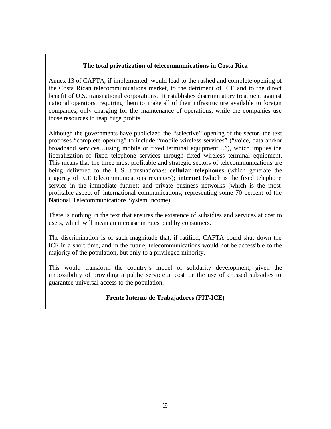#### **The total privatization of telecommunications in Costa Rica**

Annex 13 of CAFTA, if implemented, would lead to the rushed and complete opening of the Costa Rican telecommunications market, to the detriment of ICE and to the direct benefit of U.S. transnational corporations. It establishes discriminatory treatment against national operators, requiring them to make all of their infrastructure available to foreign companies, only charging for the maintenance of operations, while the companies use those resources to reap huge profits.

Although the governments have publicized the "selective" opening of the sector, the text proposes "complete opening" to include "mobile wireless services" ("voice, data and/or broadband services…using mobile or fixed terminal equipment…"), which implies the liberalization of fixed telephone services through fixed wireless terminal equipment. This means that the three most profitable and strategic sectors of telecommunications are being delivered to the U.S. transnationals: **cellular telephones** (which generate the majority of ICE telecommunications revenues); **internet** (which is the fixed telephone service in the immediate future); and private business networks (which is the most profitable aspect of international communications, representing some 70 percent of the National Telecommunications System income).

There is nothing in the text that ensures the existence of subsidies and services at cost to users, which will mean an increase in rates paid by consumers.

The discrimination is of such magnitude that, if ratified, CAFTA could shut down the ICE in a short time, and in the future, telecommunications would not be accessible to the majority of the population, but only to a privileged minority.

This would transform the country's model of solidarity development, given the impossibility of providing a public servic e at cost or the use of crossed subsidies to guarantee universal access to the population.

#### **Frente Interno de Trabajadores (FIT-ICE)**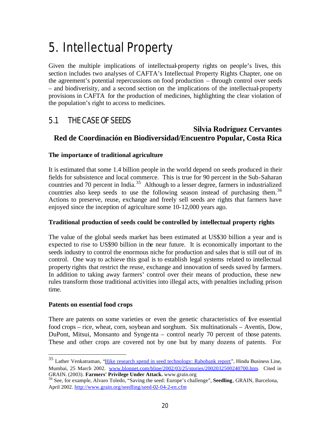# 5. Intellectual Property

Given the multiple implications of intellectual-property rights on people's lives, this section includes two analyses of CAFTA's Intellectual Property Rights Chapter, one on the agreement's potential repercussions on food production – through control over seeds – and biodiverisity, and a second section on the implications of the intellectual-property provisions in CAFTA for the production of medicines, highlighting the clear violation of the population's right to access to medicines.

## 5.1 THE CASE OF SEEDS

### **Silvia Rodríguez Cervantes Red de Coordinación en Biodiversidad/Encuentro Popular, Costa Rica**

#### **The importance of traditional agriculture**

It is estimated that some 1.4 billion people in the world depend on seeds produced in their fields for subsistence and local commerce. This is true for 90 percent in the Sub-Saharan countries and 70 percent in India.<sup>35</sup> Although to a lesser degree, farmers in industrialized countries also keep seeds to use the following season instead of purchasing them.<sup>36</sup> Actions to preserve, reuse, exchange and freely sell seeds are rights that farmers have enjoyed since the inception of agriculture some 10-12,000 years ago.

#### **Traditional production of seeds could be controlled by intellectual property rights**

The value of the global seeds market has been estimated at US\$30 billion a year and is expected to rise to US\$90 billion in the near future. It is economically important to the seeds industry to control the enormous niche for production and sales that is still out of its control. One way to achieve this goal is to establish legal systems related to intellectual property rights that restrict the reuse, exchange and innovation of seeds saved by farmers. In addition to taking away farmers' control over their means of production, these new rules transform those traditional activities into illegal acts, with penalties including prison time.

#### **Patents on essential food crops**

 $\overline{a}$ 

There are patents on some varieties or even the genetic characteristics of five essential food crops – rice, wheat, corn, soybean and sorghum. Six multinationals – Aventis, Dow, DuPont, Mitsui, Monsanto and Syngenta – control nearly 70 percent of those patents. These and other crops are covered not by one but by many dozens of patents. For

<sup>&</sup>lt;sup>35</sup> Lather Venkatraman, "Hike research spend in seed technology: Rabobank report", Hindu Business Line, Mumbai, 25 March 2002. www.blonnet.com/bline/2002/03/25/stories/2002032500240700.htm. Cited in GRAIN. (2003). **Farmers' Privilege Under Attack.** www.grain.org

<sup>36</sup> See, for example, Alvaro Toledo, "Saving the seed: Europe's challenge", **Seedling**, GRAIN, Barcelona, April 2002. http://www.grain.org/seedling/seed-02-04-2-en.cfm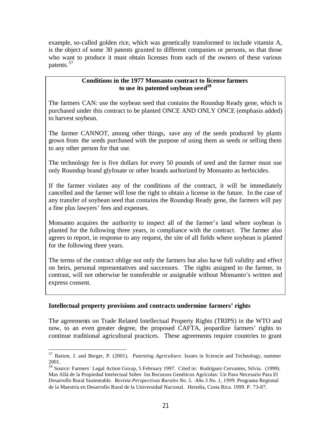example, so-called golden rice, which was genetically transformed to include vitamin A, is the object of some 30 patents granted to different companies or persons, so that those who want to produce it must obtain licenses from each of the owners of these various patents.<sup>37</sup>

#### **Conditions in the 1977 Monsanto contract to license farmers to use its patented soybean seed<sup>38</sup>**

The farmers CAN: use the soybean seed that contains the Roundup Ready gene, which is purchased under this contract to be planted ONCE AND ONLY ONCE (emphasis added) to harvest soybean.

The farmer CANNOT, among other things, save any of the seeds produced by plants grown from the seeds purchased with the purpose of using them as seeds or selling them to any other person for that use.

The technology fee is five dollars for every 50 pounds of seed and the farmer must use only Roundup brand glyfosate or other brands authorized by Monsanto as herbicides.

If the farmer violates any of the conditions of the contract, it will be immediately cancelled and the farmer will lose the right to obtain a license in the future. In the case of any transfer of soybean seed that contains the Roundup Ready gene, the farmers will pay a fine plus lawyers' fees and expenses.

Monsanto acquires the authority to inspect all of the farmer's land where soybean is planted for the following three years, in compliance with the contract. The farmer also agrees to report, in response to any request, the site of all fields where soybean is planted for the following three years.

The terms of the contract oblige not only the farmers but also have full validity and effect on heirs, personal representatives and successors. The rights assigned to the farmer, in contrast, will not otherwise be transferable or assignable without Monsanto's written and express consent.

#### **Intellectual property provisions and contracts undermine farmers' rights**

The agreements on Trade Related Intellectual Property Rights (TRIPS) in the WTO and now, to an even greater degree, the proposed CAFTA, jeopardize farmers' rights to continue traditional agricultural practices. These agreements require countries to grant

 $\overline{a}$ <sup>37</sup> Barton, J. and Berger, P. (2001). *Patenting Agriculture.* Issues in Sciencie and Technology, summer 2001.

<sup>&</sup>lt;sup>38</sup> Source: Farmers´ Legal Action Group, 5 February 1997. Cited in: Rodríguez Cervantes, Silvia. (1999). Mas Allá de la Propiedad Intelectual Sobre los Recursos Genéticos Agrícolas: Un Paso Necesario Para El Desarrollo Rural Sustentable. *Revista Perspectivas Rurales No. 5. Año 3 No. 1, 1999.* Programa Regional de la Maestría en Desarrollo Rural de la Universidad Nacional. Heredia, Costa Rica. 1999. P. 73-87.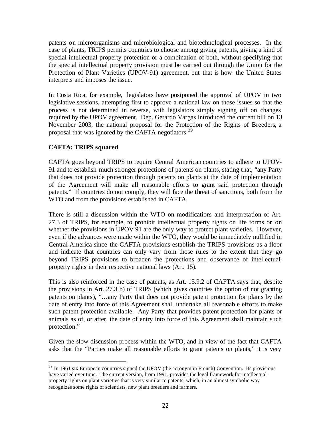patents on microorganisms and microbiological and biotechnological processes. In the case of plants, TRIPS permits countries to choose among giving patents, giving a kind of special intellectual property protection or a combination of both, without specifying that the special intellectual property provision must be carried out through the Union for the Protection of Plant Varieties (UPOV-91) agreement, but that is how the United States interprets and imposes the issue.

In Costa Rica, for example, legislators have postponed the approval of UPOV in two legislative sessions, attempting first to approve a national law on those issues so that the process is not determined in reverse, with legislators simply signing off on changes required by the UPOV agreement. Dep. Gerardo Vargas introduced the current bill on 13 November 2003, the national proposal for the Protection of the Rights of Breeders, a proposal that was ignored by the CAFTA negotiators.<sup>39</sup>

#### **CAFTA: TRIPS squared**

 $\overline{a}$ 

CAFTA goes beyond TRIPS to require Central American countries to adhere to UPOV-91 and to establish much stronger protections of patents on plants, stating that, "any Party that does not provide protection through patents on plants at the date of implementation of the Agreement will make all reasonable efforts to grant said protection through patents." If countries do not comply, they will face the threat of sanctions, both from the WTO and from the provisions established in CAFTA.

There is still a discussion within the WTO on modifications and interpretation of Art. 27.3 of TRIPS, for example, to prohibit intellectual property rights on life forms or on whether the provisions in UPOV 91 are the only way to protect plant varieties. However, even if the advances were made within the WTO, they would be immediately nullified in Central America since the CAFTA provisions establish the TRIPS provisions as a floor and indicate that countries can only vary from those rules to the extent that they go beyond TRIPS provisions to broaden the protections and observance of intellectualproperty rights in their respective national laws (Art. 15).

This is also reinforced in the case of patents, as Art. 15.9.2 of CAFTA says that, despite the provisions in Art. 27.3 b) of TRIPS (which gives countries the option of not granting patents on plants), "…any Party that does not provide patent protection for plants by the date of entry into force of this Agreement shall undertake all reasonable efforts to make such patent protection available. Any Party that provides patent protection for plants or animals as of, or after, the date of entry into force of this Agreement shall maintain such protection."

Given the slow discussion process within the WTO, and in view of the fact that CAFTA asks that the "Parties make all reasonable efforts to grant patents on plants," it is very

 $39$  In 1961 six European countries signed the UPOV (the acronym in French) Convention. Its provisions have varied over time. The current version, from 1991, provides the legal framework for intellectualproperty rights on plant varieties that is very similar to patents, which, in an almost symbolic way recognizes some rights of scientists, new plant breeders and farmers.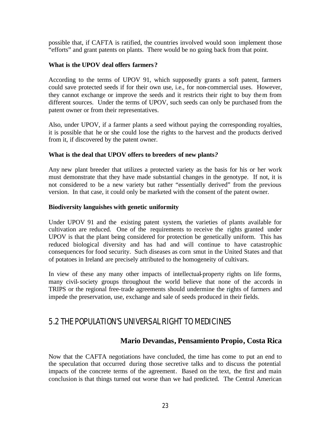possible that, if CAFTA is ratified, the countries involved would soon implement those "efforts" and grant patents on plants. There would be no going back from that point.

#### **What is the UPOV deal offers farmers?**

According to the terms of UPOV 91, which supposedly grants a soft patent, farmers could save protected seeds if for their own use, i.e., for non-commercial uses. However, they cannot exchange or improve the seeds and it restricts their right to buy them from different sources. Under the terms of UPOV, such seeds can only be purchased from the patent owner or from their representatives.

Also, under UPOV, if a farmer plants a seed without paying the corresponding royalties, it is possible that he or she could lose the rights to the harvest and the products derived from it, if discovered by the patent owner.

#### **What is the deal that UPOV offers to breeders of new plants***?*

Any new plant breeder that utilizes a protected variety as the basis for his or her work must demonstrate that they have made substantial changes in the genotype. If not, it is not considered to be a new variety but rather "essentially derived" from the previous version. In that case, it could only be marketed with the consent of the patent owner.

#### **Biodiversity languishes with genetic uniformity**

Under UPOV 91 and the existing patent system, the varieties of plants available for cultivation are reduced. One of the requirements to receive the rights granted under UPOV is that the plant being considered for protection be genetically uniform. This has reduced biological diversity and has had and will continue to have catastrophic consequences for food security. Such diseases as corn smut in the United States and that of potatoes in Ireland are precisely attributed to the homogeneity of cultivars.

In view of these any many other impacts of intellectual-property rights on life forms, many civil-society groups throughout the world believe that none of the accords in TRIPS or the regional free-trade agreements should undermine the rights of farmers and impede the preservation, use, exchange and sale of seeds produced in their fields.

## 5.2 THE POPULATION'S UNIVERSAL RIGHT TO MEDICINES

### **Mario Devandas, Pensamiento Propio, Costa Rica**

Now that the CAFTA negotiations have concluded, the time has come to put an end to the speculation that occurred during those secretive talks and to discuss the potential impacts of the concrete terms of the agreement. Based on the text, the first and main conclusion is that things turned out worse than we had predicted. The Central American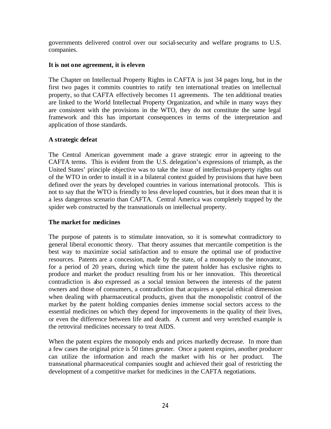governments delivered control over our social-security and welfare programs to U.S. companies.

#### **It is not one agreement, it is eleven**

The Chapter on Intellectual Property Rights in CAFTA is just 34 pages long, but in the first two pages it commits countries to ratify ten international treaties on intellectual property, so that CAFTA effectively becomes 11 agreements. The ten additional treaties are linked to the World Intellectual Property Organization, and while in many ways they are consistent with the provisions in the WTO, they do not constitute the same legal framework and this has important consequences in terms of the interpretation and application of those standards.

#### **A strategic defeat**

The Central American government made a grave strategic error in agreeing to the CAFTA terms. This is evident from the U.S. delegation's expressions of triumph, as the United States' principle objective was to take the issue of intellectual-property rights out of the WTO in order to install it in a bilateral context guided by provisions that have been defined over the years by developed countries in various international protocols. This is not to say that the WTO is friendly to less deve loped countries, but it does mean that it is a less dangerous scenario than CAFTA. Central America was completely trapped by the spider web constructed by the transnationals on intellectual property.

#### **The market for medicines**

The purpose of patents is to stimulate innovation, so it is somewhat contradictory to general liberal economic theory. That theory assumes that mercantile competition is the best way to maximize social satisfaction and to ensure the optimal use of productive resources. Patents are a concession, made by the state, of a monopoly to the innovator, for a period of 20 years, during which time the patent holder has exclusive rights to produce and market the product resulting from his or her innovation. This theoretical contradiction is also expressed as a social tension between the interests of the patent owners and those of consumers, a contradiction that acquires a special ethical dimension when dealing with pharmaceutical products, given that the monopolistic control of the market by the patent holding companies denies immense social sectors access to the essential medicines on which they depend for improvements in the quality of their lives, or even the difference between life and death. A current and very wretched example is the retroviral medicines necessary to treat AIDS.

When the patent expires the monopoly ends and prices markedly decrease. In more than a few cases the original price is 50 times greater. Once a patent expires, another producer can utilize the information and reach the market with his or her product. The transnational pharmaceutical companies sought and achieved their goal of restricting the development of a competitive market for medicines in the CAFTA negotiations.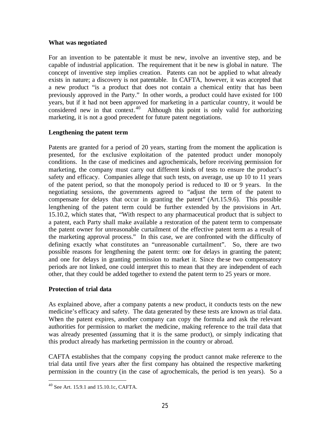#### **What was negotiated**

For an invention to be patentable it must be new, involve an inventive step, and be capable of industrial application. The requirement that it be new is global in nature. The concept of inventive step implies creation. Patents can not be applied to what already exists in nature; a discovery is not patentable. In CAFTA, however, it was accepted that a new product "is a product that does not contain a chemical entity that has been previously approved in the Party." In other words, a product could have existed for 100 years, but if it had not been approved for marketing in a particular country, it would be considered new in that context.<sup>40</sup> Although this point is only valid for authorizing marketing, it is not a good precedent for future patent negotiations.

#### **Lengthening the patent term**

Patents are granted for a period of 20 years, starting from the moment the application is presented, for the exclusive exploitation of the patented product under monopoly conditions. In the case of medicines and agrochemicals, before receiving permission for marketing, the company must carry out different kinds of tests to ensure the product's safety and efficacy. Companies allege that such tests, on average, use up 10 to 11 years of the patent period, so that the monopoly period is reduced to 10 or 9 years. In the negotiating sessions, the governments agreed to "adjust the term of the patent to compensate for delays that occur in granting the patent" (Art.15.9.6). This possible lengthening of the patent term could be further extended by the provisions in Art. 15.10.2, which states that, "With respect to any pharmaceutical product that is subject to a patent, each Party shall make available a restoration of the patent term to compensate the patent owner for unreasonable curtailment of the effective patent term as a result of the marketing approval process." In this case, we are confronted with the difficulty of defining exactly what constitutes an "unreasonable curtailment". So, there are two possible reasons for lengthening the patent term: one for delays in granting the patent; and one for delays in granting permission to market it. Since the se two compensatory periods are not linked, one could interpret this to mean that they are independent of each other, that they could be added together to extend the patent term to 25 years or more.

#### **Protection of trial data**

As explained above, after a company patents a new product, it conducts tests on the new medicine's efficacy and safety. The data generated by these tests are known as trial data. When the patent expires, another company can copy the formula and ask the relevant authorities for permission to market the medicine, making reference to the trail data that was already presented (assuming that it is the same product), or simply indicating that this product already has marketing permission in the country or abroad.

CAFTA establishes that the company copying the product cannot make reference to the trial data until five years after the first company has obtained the respective marketing permission in the country (in the case of agrochemicals, the period is ten years). So a

<sup>40</sup> See Art. 15.9.1 and 15.10.1c, CAFTA.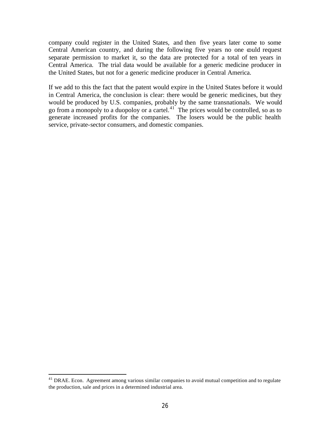company could register in the United States, and then five years later come to some Central American country, and during the following five years no one could request separate permission to market it, so the data are protected for a total of ten years in Central America. The trial data would be available for a generic medicine producer in the United States, but not for a generic medicine producer in Central America.

If we add to this the fact that the patent would expire in the United States before it would in Central America, the conclusion is clear: there would be generic medicines, but they would be produced by U.S. companies, probably by the same transnationals. We would go from a monopoly to a duopoloy or a cartel. $^{41}$  The prices would be controlled, so as to generate increased profits for the companies. The losers would be the public health service, private-sector consumers, and domestic companies.

 $41$  DRAE. Econ. Agreement among various similar companies to avoid mutual competition and to regulate the production, sale and prices in a determined industrial area.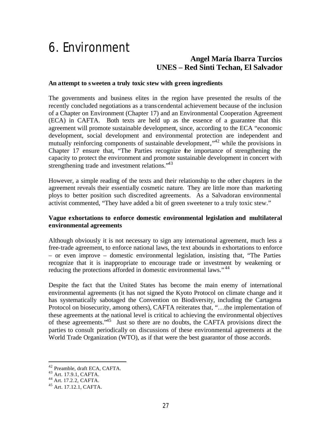## 6. Environment

### **Angel María Ibarra Turcios UNES – Red Sinti Techan, El Salvador**

#### **An attempt to sweeten a truly toxic stew with green ingredients**

The governments and business elites in the region have presented the results of the recently concluded negotiations as a trans cendental achievement because of the inclusion of a Chapter on Environment (Chapter 17) and an Environmental Cooperation Agreement (ECA) in CAFTA. Both texts are held up as the essence of a guarantee that this agreement will promote sustainable development, since, according to the ECA "economic development, social development and environmental protection are independent and mutually reinforcing components of sustainable development,"<sup>42</sup> while the provisions in Chapter 17 ensure that, "The Parties recognize the importance of strengthening the capacity to protect the environment and promote sustainable development in concert with strengthening trade and investment relations.<sup>43</sup>

However, a simple reading of the texts and their relationship to the other chapters in the agreement reveals their essentially cosmetic nature. They are little more than marketing ploys to better position such discredited agreements. As a Salvadoran environmental activist commented, "They have added a bit of green sweetener to a truly toxic stew."

#### **Vague exhortations to enforce domestic environmental legislation and multilateral environmental agreements**

Although obviously it is not necessary to sign any international agreement, much less a free-trade agreement, to enforce national laws, the text abounds in exhortations to enforce – or even improve – domestic environmental legislation, insisting that, "The Parties recognize that it is inappropriate to encourage trade or investment by weakening or reducing the protections afforded in domestic environmental laws."<sup>44</sup>

Despite the fact that the United States has become the main enemy of international environmental agreements (it has not signed the Kyoto Protocol on climate change and it has systematically sabotaged the Convention on Biodiversity, including the Cartagena Protocol on biosecurity, among others), CAFTA reiterates that, "…the implementation of these agreements at the national level is critical to achieving the environmental objectives of these agreements."<sup>45</sup> Just so there are no doubts, the CAFTA provisions direct the parties to consult periodically on discussions of these environmental agreements at the World Trade Organization (WTO), as if that were the best guarantor of those accords.

<sup>42</sup> Preamble, draft ECA, CAFTA.

<sup>&</sup>lt;sup>43</sup> Art. 17.9.1, CAFTA.

<sup>44</sup> Art. 17.2.2, CAFTA.

<sup>45</sup> Art. 17.12.1, CAFTA.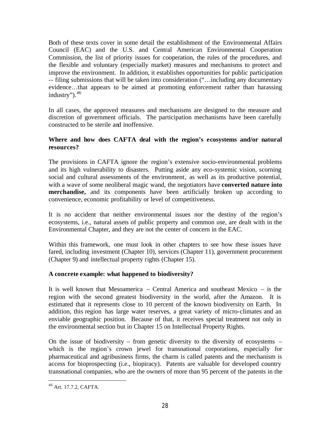Both of these texts cover in some detail the establishment of the Environmental Affairs Council (EAC) and the U.S. and Central American Environmental Cooperation Commission, the list of priority issues for cooperation, the rules of the procedures, and the flexible and voluntary (especially market) measures and mechanisms to protect and improve the environment. In addition, it establishes opportunities for public participation -- filing submissions that will be taken into consideration ("…including any documentary evidence…that appears to be aimed at promoting enforcement rather than harassing industry"). $46$ 

In all cases, the approved measures and mechanisms are designed to the measure and discretion of government officials. The participation mechanisms have been carefully constructed to be sterile and inoffensive.

#### **Where and how does CAFTA deal with the region's ecosystems and/or natural resources?**

The provisions in CAFTA ignore the region's extensive socio-environmental problems and its high vulnerability to disasters. Putting aside any eco-systemic vision, scorning social and cultural assessments of the environment, as well as its productive potential, with a wave of some neoliberal magic wand, the negotiators have **converted nature into merchandise,** and its components have been artificially broken up according to convenience, economic profitability or level of competitiveness.

It is no accident that neither environmental issues nor the destiny of the region's ecosystems, i.e., natural assets of public property and common use, are dealt with in the Environmental Chapter, and they are not the center of concern in the EAC.

Within this framework, one must look in other chapters to see how these issues have fared, including investment (Chapter 10), services (Chapter 11), government procurement (Chapter 9) and intellectual property rights (Chapter 15).

#### **A concrete example: what happened to biodiversity?**

It is well known that Mesoamerica – Central America and southeast Mexico – is the region with the second greatest biodiversity in the world, after the Amazon. It is estimated that it represents close to 10 percent of the known biodiversity on Earth. In addition, this region has large water reserves, a great variety of micro-climates and an enviable geographic position. Because of that, it receives special treatment not only in the environmental section but in Chapter 15 on Intellectual Property Rights.

On the issue of biodiversity – from genetic diversity to the diversity of ecosystems – which is the region's crown jewel for transnational corporations, especially for pharmaceutical and agribusiness firms, the charm is called patents and the mechanism is access for bioprospecting (i.e., biopiracy). Patents are valuable for developed country transnational companies, who are the owners of more than 95 percent of the patents in the

<sup>46</sup> Art. 17.7.2, CAFTA.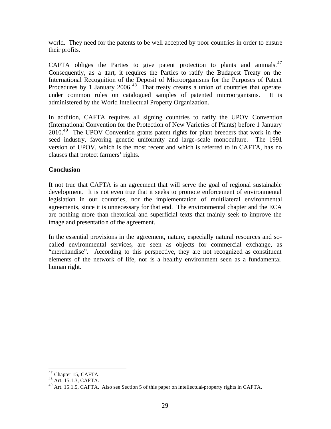world. They need for the patents to be well accepted by poor countries in order to ensure their profits.

CAFTA obliges the Parties to give patent protection to plants and animals. $47$ Consequently, as a start, it requires the Parties to ratify the Budapest Treaty on the International Recognition of the Deposit of Microorganisms for the Purposes of Patent Procedures by 1 January 2006.<sup>48</sup> That treaty creates a union of countries that operate under common rules on catalogued samples of patented microorganisms. It is administered by the World Intellectual Property Organization.

In addition, CAFTA requires all signing countries to ratify the UPOV Convention (International Convention for the Protection of New Varieties of Plants) before 1 January 2010.<sup>49</sup> The UPOV Convention grants patent rights for plant breeders that work in the seed industry, favoring genetic uniformity and large-scale monoculture. The 1991 version of UPOV, which is the most recent and which is referred to in CAFTA, has no clauses that protect farmers' rights.

#### **Conclusion**

It not true that CAFTA is an agreement that will serve the goal of regional sustainable development. It is not even true that it seeks to promote enforcement of environmental legislation in our countries, nor the implementation of multilateral environmental agreements, since it is unnecessary for that end. The environmental chapter and the ECA are nothing more than rhetorical and superficial texts that mainly seek to improve the image and presentation of the agreement.

In the essential provisions in the agreement, nature, especially natural resources and socalled environmental services, are seen as objects for commercial exchange, as "merchandise". According to this perspective, they are not recognized as constituent elements of the network of life, nor is a healthy environment seen as a fundamental human right.

<sup>&</sup>lt;sup>47</sup> Chapter 15, CAFTA.

<sup>48</sup> Art. 15.1.3, CAFTA.

<sup>&</sup>lt;sup>49</sup> Art. 15.1.5, CAFTA. Also see Section 5 of this paper on intellectual-property rights in CAFTA.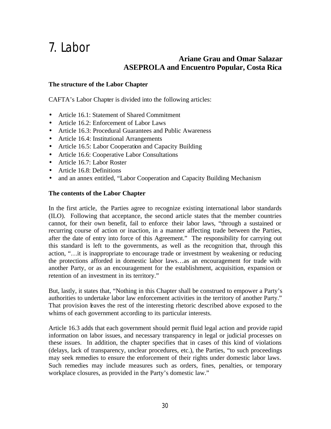## 7. Labor

### **Ariane Grau and Omar Salazar ASEPROLA and Encuentro Popular, Costa Rica**

#### **The structure of the Labor Chapter**

CAFTA's Labor Chapter is divided into the following articles:

- Article 16.1: Statement of Shared Commitment
- Article 16.2: Enforcement of Labor Laws
- Article 16.3: Procedural Guarantees and Public Awareness
- Article 16.4: Institutional Arrangements
- Article 16.5: Labor Cooperation and Capacity Building
- Article 16.6: Cooperative Labor Consultations
- Article 16.7: Labor Roster
- Article 16.8: Definitions
- and an annex entitled, "Labor Cooperation and Capacity Building Mechanism

#### **The contents of the Labor Chapter**

In the first article, the Parties agree to recognize existing international labor standards (ILO). Following that acceptance, the second article states that the member countries cannot, for their own benefit, fail to enforce their labor laws, "through a sustained or recurring course of action or inaction, in a manner affecting trade between the Parties, after the date of entry into force of this Agreement." The responsibility for carrying out this standard is left to the governments, as well as the recognition that, through this action, "…it is inappropriate to encourage trade or investment by weakening or reducing the protections afforded in domestic labor laws…as an encouragement for trade with another Party, or as an encouragement for the establishment, acquisition, expansion or retention of an investment in its territory."

But, lastly, it states that, "Nothing in this Chapter shall be construed to empower a Party's authorities to undertake labor law enforcement activities in the territory of another Party." That provision leaves the rest of the interesting rhetoric described above exposed to the whims of each government according to its particular interests.

Article 16.3 adds that each government should permit fluid legal action and provide rapid information on labor issues, and necessary transparency in legal or judicial processes on these issues. In addition, the chapter specifies that in cases of this kind of violations (delays, lack of transparency, unclear procedures, etc.), the Parties, "to such proceedings may seek remedies to ensure the enforcement of their rights under domestic labor laws. Such remedies may include measures such as orders, fines, penalties, or temporary workplace closures, as provided in the Party's domestic law."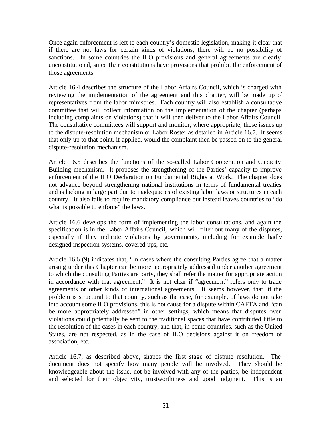Once again enforcement is left to each country's domestic legislation, making it clear that if there are not laws for certain kinds of violations, there will be no possibility of sanctions. In some countries the ILO provisions and general agreements are clearly unconstitutional, since their constitutions have provisions that prohibit the enforcement of those agreements.

Article 16.4 describes the structure of the Labor Affairs Council, which is charged with reviewing the implementation of the agreement and this chapter, will be made up of representatives from the labor ministries. Each country will also establish a consultative committee that will collect information on the implementation of the chapter (perhaps including complaints on violations) that it will then deliver to the Labor Affairs Council. The consultative committees will support and monitor, where appropriate, these issues up to the dispute-resolution mechanism or Labor Roster as detailed in Article 16.7. It seems that only up to that point, if applied, would the complaint then be passed on to the general dispute-resolution mechanism.

Article 16.5 describes the functions of the so-called Labor Cooperation and Capacity Building mechanism. It proposes the strengthening of the Parties' capacity to improve enforcement of the ILO Declaration on Fundamental Rights at Work. The chapter does not advance beyond strengthening national institutions in terms of fundamental treaties and is lacking in large part due to inadequacies of existing labor laws or structures in each country. It also fails to require mandatory compliance but instead leaves countries to "do what is possible to enforce" the laws.

Article 16.6 develops the form of implementing the labor consultations, and again the specification is in the Labor Affairs Council, which will filter out many of the disputes, especially if they indicate violations by governments, including for example badly designed inspection systems, covered ups, etc.

Article 16.6 (9) indicates that, "In cases where the consulting Parties agree that a matter arising under this Chapter can be more appropriately addressed under another agreement to which the consulting Parties are party, they shall refer the matter for appropriate action in accordance with that agreement." It is not clear if "agreement" refers only to trade agreements or other kinds of international agreements. It seems however, that if the problem is structural to that country, such as the case, for example, of laws do not take into account some ILO provisions, this is not cause for a dispute within CAFTA and "can be more appropriately addressed" in other settings, which means that disputes over violations could potentially be sent to the traditional spaces that have contributed little to the resolution of the cases in each country, and that, in come countries, such as the United States, are not respected, as in the case of ILO decisions against it on freedom of association, etc.

Article 16.7, as described above, shapes the first stage of dispute resolution. The document does not specify how many people will be involved. They should be knowledgeable about the issue, not be involved with any of the parties, be independent and selected for their objectivity, trustworthiness and good judgment. This is an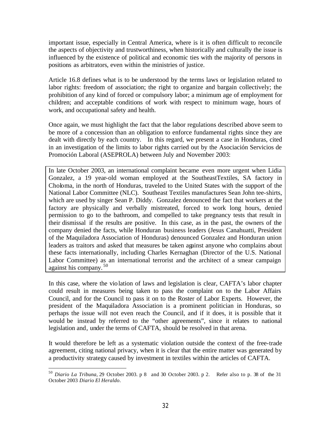important issue, especially in Central America, where is it is often difficult to reconcile the aspects of objectivity and trustworthiness, when historically and culturally the issue is influenced by the existence of political and economic ties with the majority of persons in positions as arbitrators, even within the ministries of justice.

Article 16.8 defines what is to be understood by the terms laws or legislation related to labor rights: freedom of association; the right to organize and bargain collectively; the prohibition of any kind of forced or compulsory labor; a minimum age of employment for children; and acceptable conditions of work with respect to minimum wage, hours of work, and occupational safety and health.

Once again, we must highlight the fact that the labor regulations described above seem to be more of a concession than an obligation to enforce fundamental rights since they are dealt with directly by each country. In this regard, we present a case in Honduras, cited in an investigation of the limits to labor rights carried out by the Asociación Servicios de Promoción Laboral (ASEPROLA) between July and November 2003:

In late October 2003, an international complaint became even more urgent when Lidia Gonzalez, a 19 year-old woman employed at the SoutheastTextiles, SA factory in Choloma, in the north of Honduras, traveled to the United States with the support of the National Labor Committee (NLC). Southeast Textiles manufactures Sean John tee-shirts, which are used by singer Sean P. Diddy. Gonzalez denounced the fact that workers at the factory are physically and verbally mistreated, forced to work long hours, denied permission to go to the bathroom, and compelled to take pregnancy tests that result in their dismissal if the results are positive. In this case, as in the past, the owners of the company denied the facts, while Honduran business leaders (Jesus Canahuatti, President of the Maquiladora Association of Honduras) denounced Gonzalez and Honduran union leaders as traitors and asked that measures be taken against anyone who complains about these facts internationally, including Charles Kernaghan (Director of the U.S. National Labor Committee) as an international terrorist and the architect of a smear campaign against his company. <sup>50</sup>

In this case, where the violation of laws and legislation is clear, CAFTA's labor chapter could result in measures being taken to pass the complaint on to the Labor Affairs Council, and for the Council to pass it on to the Roster of Labor Experts. However, the president of the Maquiladora Association is a prominent politician in Honduras, so perhaps the issue will not even reach the Council, and if it does, it is possible that it would be instead by referred to the "other agreements", since it relates to national legislation and, under the terms of CAFTA, should be resolved in that arena.

It would therefore be left as a systematic violation outside the context of the free-trade agreement, citing national privacy, when it is clear that the entire matter was generated by a productivity strategy caused by investment in textiles within the articles of CAFTA.

 $\overline{a}$ <sup>50</sup> *Diario La Tribuna*, 29 October 2003. p 8 and 30 October 2003. p 2. Refer also to p. 38 of the 31 October 2003 *Diario El Heraldo*.